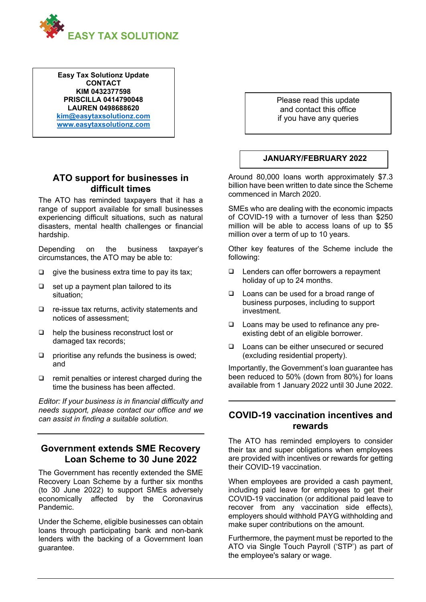

**Easy Tax Solutionz Update CONTACT KIM 0432377598 PRISCILLA 0414790048 LAUREN 0498688620 [kim@easytaxsolutionz.com](mailto:kim@easytaxsolutionz.com) [www.easytaxsolutionz.com](http://www.easytaxsolutionz.com/)**

## **ATO support for businesses in difficult times**

The ATO has reminded taxpayers that it has a range of support available for small businesses experiencing difficult situations, such as natural disasters, mental health challenges or financial hardship.

Depending on the business taxpayer's circumstances, the ATO may be able to:

- $\Box$  give the business extra time to pay its tax;
- ❑ set up a payment plan tailored to its situation;
- ❑ re-issue tax returns, activity statements and notices of assessment;
- ❑ help the business reconstruct lost or damaged tax records;
- ❑ prioritise any refunds the business is owed; and
- ❑ remit penalties or interest charged during the time the business has been affected.

*Editor: If your business is in financial difficulty and needs support, please contact our office and we can assist in finding a suitable solution.*

# **Government extends SME Recovery Loan Scheme to 30 June 2022**

The Government has recently extended the SME Recovery Loan Scheme by a further six months (to 30 June 2022) to support SMEs adversely economically affected by the Coronavirus Pandemic.

Under the Scheme, eligible businesses can obtain loans through participating bank and non-bank lenders with the backing of a Government loan guarantee.

Please read this update and contact this office if you have any queries

#### **JANUARY/FEBRUARY 2022**

Around 80,000 loans worth approximately \$7.3 billion have been written to date since the Scheme commenced in March 2020.

SMEs who are dealing with the economic impacts of COVID-19 with a turnover of less than \$250 million will be able to access loans of up to \$5 million over a term of up to 10 years.

Other key features of the Scheme include the following:

- ❑ Lenders can offer borrowers a repayment holiday of up to 24 months.
- ❑ Loans can be used for a broad range of business purposes, including to support investment.
- ❑ Loans may be used to refinance any preexisting debt of an eligible borrower.
- ❑ Loans can be either unsecured or secured (excluding residential property).

Importantly, the Government's loan guarantee has been reduced to 50% (down from 80%) for loans available from 1 January 2022 until 30 June 2022.

### **COVID-19 vaccination incentives and rewards**

The ATO has reminded employers to consider their tax and super obligations when employees are provided with incentives or rewards for getting their COVID-19 vaccination.

When employees are provided a cash payment, including paid leave for employees to get their COVID-19 vaccination (or additional paid leave to recover from any vaccination side effects), employers should withhold PAYG withholding and make super contributions on the amount.

Furthermore, the payment must be reported to the ATO via Single Touch Payroll ('STP') as part of the employee's salary or wage.